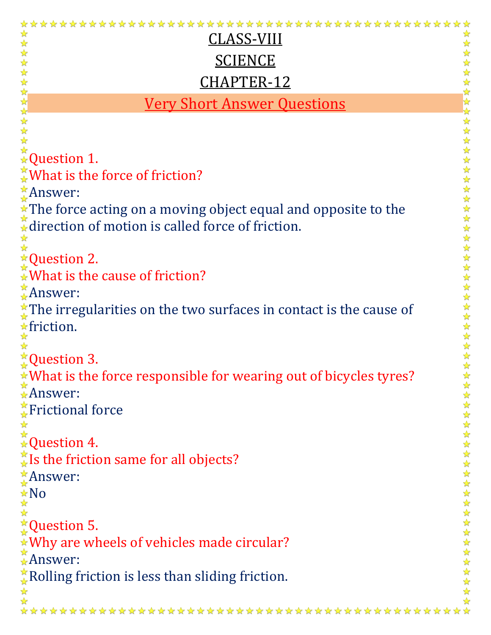| CLASS-VIII                                                                                                                                                                                                            |                        |
|-----------------------------------------------------------------------------------------------------------------------------------------------------------------------------------------------------------------------|------------------------|
| <b>SCIENCE</b>                                                                                                                                                                                                        |                        |
| CHAPTER-12                                                                                                                                                                                                            |                        |
|                                                                                                                                                                                                                       |                        |
| <b>Very Short Answer Questions</b>                                                                                                                                                                                    |                        |
|                                                                                                                                                                                                                       | 女女女女女女女女女女             |
|                                                                                                                                                                                                                       |                        |
|                                                                                                                                                                                                                       |                        |
| ☆ What is the force of friction?                                                                                                                                                                                      |                        |
| $^*$ Answer:                                                                                                                                                                                                          |                        |
| * The force acting on a moving object equal and opposite to the                                                                                                                                                       | $\frac{1}{\sqrt{2}}$   |
| A direction of motion is called force of friction.                                                                                                                                                                    | $\frac{1}{\mathbf{k}}$ |
|                                                                                                                                                                                                                       | 琴琴琴                    |
| $\star$ Question 2.                                                                                                                                                                                                   |                        |
| $\frac{1}{2}$ What is the cause of friction?                                                                                                                                                                          |                        |
| Answer:                                                                                                                                                                                                               |                        |
| The irregularities on the two surfaces in contact is the cause of                                                                                                                                                     |                        |
| $\frac{1}{\star}$ friction.                                                                                                                                                                                           |                        |
|                                                                                                                                                                                                                       | やみやみやみなみや              |
| $\frac{1}{\mathcal{M}}$ Question 3.                                                                                                                                                                                   |                        |
| *What is the force responsible for wearing out of bicycles tyres?                                                                                                                                                     |                        |
| $\hat{*}$ Answer:                                                                                                                                                                                                     |                        |
| Frictional force                                                                                                                                                                                                      |                        |
| $\mathop{\star}\limits_{\mathop{\star}\limits^{\mathop{\star}\limits^{\mathop{\star}\limits^{\mathop{\star}\limits^{\mathop{\star}\limits^{\mathop{\star}\limits^{\mathop{\star}\limits^{\mathop{\mathsf{#}}}}}}}}}}$ |                        |
|                                                                                                                                                                                                                       |                        |
| $\frac{1}{4}$ Is the friction same for all objects?                                                                                                                                                                   |                        |
| Answer:                                                                                                                                                                                                               |                        |
| $\frac{1}{24}$ No                                                                                                                                                                                                     |                        |
|                                                                                                                                                                                                                       |                        |
| $*Q$ uestion 5.                                                                                                                                                                                                       |                        |
| ★Why are wheels of vehicles made circular?<br>★Answer:                                                                                                                                                                | 化化化化合物化合物化合物化合物化合物化合物  |
|                                                                                                                                                                                                                       |                        |
| Rolling friction is less than sliding friction.                                                                                                                                                                       |                        |
|                                                                                                                                                                                                                       |                        |
|                                                                                                                                                                                                                       |                        |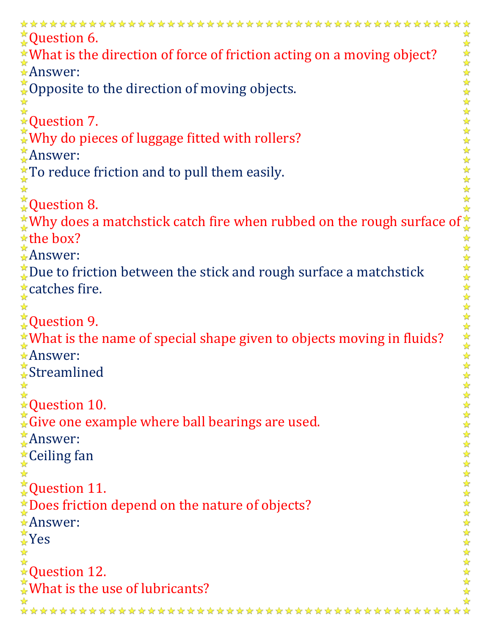```
****************
                                        ************************
^\times_\starQuestion 6.
s question to the match first catch of force of friction acting on a moving object?<br>
\frac{2}{3} Maswer:<br>
\frac{2}{3} Maswer:<br>
\frac{2}{3} Maswer:<br>
\frac{2}{3} Maswer:<br>
\frac{2}{3} Maswer:<br>
\frac{2}{3} Maswer:<br>
\frac{2}{3} Maswer:<br>
\frac{* What is the direction of force of friction acting on a moving object?
Answer:
\zetaOpposite to the direction of moving objects.
Question 7.
\sqrt[k]{\text{w}} do pieces of luggage fitted with rollers?
Answer:
\starTo reduce friction and to pull them easily.
☆
Question 8.
\starthe box?
Answer:
\stackrel{\star}{\downarrow}Due to friction between the stick and rough surface a matchstick
* catches fire.
☆
\frac{1}{24}Question 9.
\hat{X}What is the name of special shape given to objects moving in fluids?
Answer:
<del>☆</del>Streamlined
☆
★Question 10.
Give one example where ball bearings are used.
Answer:
<u></u> Ceiling fan
_{\star}^{\star}Question 11.
<u>★Does friction depend on the nature of objects?</u>
Answer:
\frac{1}{4}Yes
☆
Question 12.
☆ What is the use of lubricants?
         ********************
```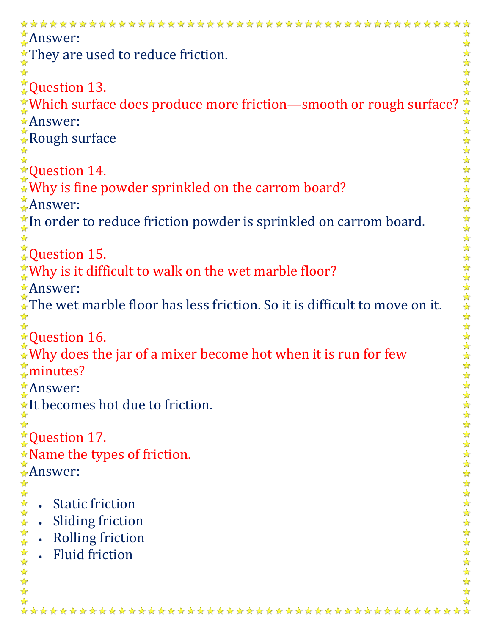| $\chi$ Answer:                                                                                              |  |  |
|-------------------------------------------------------------------------------------------------------------|--|--|
| $\hat{X}$ They are used to reduce friction.                                                                 |  |  |
|                                                                                                             |  |  |
| <b>Question 13.</b>                                                                                         |  |  |
| $\frac{*}{*}$ Which surface does produce more friction—smooth or rough surface?                             |  |  |
| *Answer:                                                                                                    |  |  |
| $\hat{*}$ Rough surface                                                                                     |  |  |
|                                                                                                             |  |  |
| <b>★Question 14.</b>                                                                                        |  |  |
| $\mathbb{\mathbb{R}}$ Why is fine powder sprinkled on the carrom board?                                     |  |  |
| Answer:                                                                                                     |  |  |
| ☆<br>In order to reduce friction powder is sprinkled on carrom board.                                       |  |  |
| $\frac{1}{\sqrt{2}}$<br>☆                                                                                   |  |  |
| ☆<br>☆Question 15.                                                                                          |  |  |
| X Why is it difficult to walk on the wet marble floor?                                                      |  |  |
| *Answer:<br>☆                                                                                               |  |  |
| 计计算法<br>$\stackrel{\star}{\star}$ The wet marble floor has less friction. So it is difficult to move on it. |  |  |
|                                                                                                             |  |  |
| $\triangle$ Question 16.                                                                                    |  |  |
|                                                                                                             |  |  |
| $\mathcal{N}$ Why does the jar of a mixer become hot when it is run for few<br>☆                            |  |  |
| $\frac{1}{2}$ minutes?<br>客                                                                                 |  |  |
| $\frac{1}{N}$ Answer:                                                                                       |  |  |
| $\frac{1}{\star}$ It becomes hot due to friction.                                                           |  |  |
| $\frac{1}{\sqrt{2}}$                                                                                        |  |  |
| $\frac{1}{k}$ Question 17.<br>$\frac{1}{\sqrt{2}}$                                                          |  |  |
| $\frac{\lambda}{\lambda}$<br>Name the types of friction.<br>$\frac{1}{\sqrt{2}}$                            |  |  |
| $\frac{1}{\sqrt{2}}$                                                                                        |  |  |
|                                                                                                             |  |  |
| <b>Static friction</b>                                                                                      |  |  |
| <b>Sliding friction</b>                                                                                     |  |  |
| 女女女女女女女女女女女女女女<br>女女女女女女女女女女女女女<br><b>Rolling friction</b>                                                  |  |  |
| <b>Fluid friction</b>                                                                                       |  |  |
|                                                                                                             |  |  |
|                                                                                                             |  |  |
|                                                                                                             |  |  |
|                                                                                                             |  |  |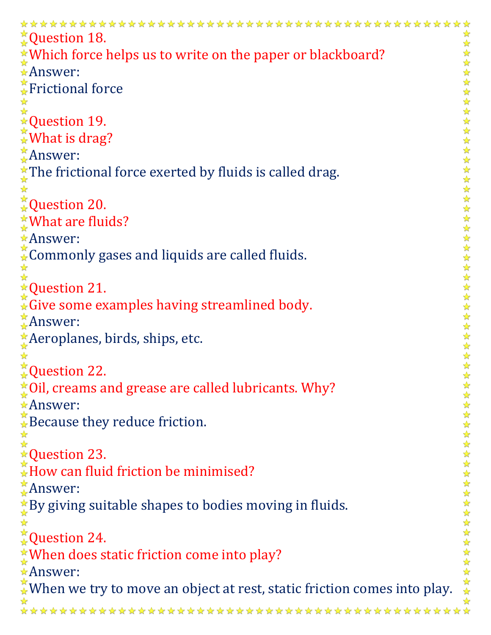```
**************
                                        ****************
^{\ast}_{\ast}Question 18.
                                                                                ☆
★Which force helps us to write on the paper or blackboard?
                                                                                Answer:
\sqrt{\frac{2}{N}}Frictional force
Question 19.
\sqrt[3]{} What is drag?
Answer:
\hat{\chi}The frictional force exerted by fluids is called drag.
☆
\stackrel{\star}{\star}Question 20.
★What are fluids?
Answer:
Commonly gases and liquids are called fluids.
☆
★Question 21.
\hat{A}Give some examples having streamlined body.
Answer:
Aeroplanes, birds, ships, etc.
☆
\stackrel{\star}{\star}Question 22.
*Oil, creams and grease are called lubricants. Why?
Answer:
\mathbb{R} Because they reduce friction.
☆
☆
★Question 23.
\frac{1}{2}How can fluid friction be minimised?
\stackrel{\star}{\downarrow}Answer:
*By giving suitable shapes to bodies moving in fluids.
☆
<del></del> Question 24.
<u>★When does static friction come into play?</u>
Answer:
\mathcal{N}_{\bullet} When we try to move an object at rest, static friction comes into play.
```